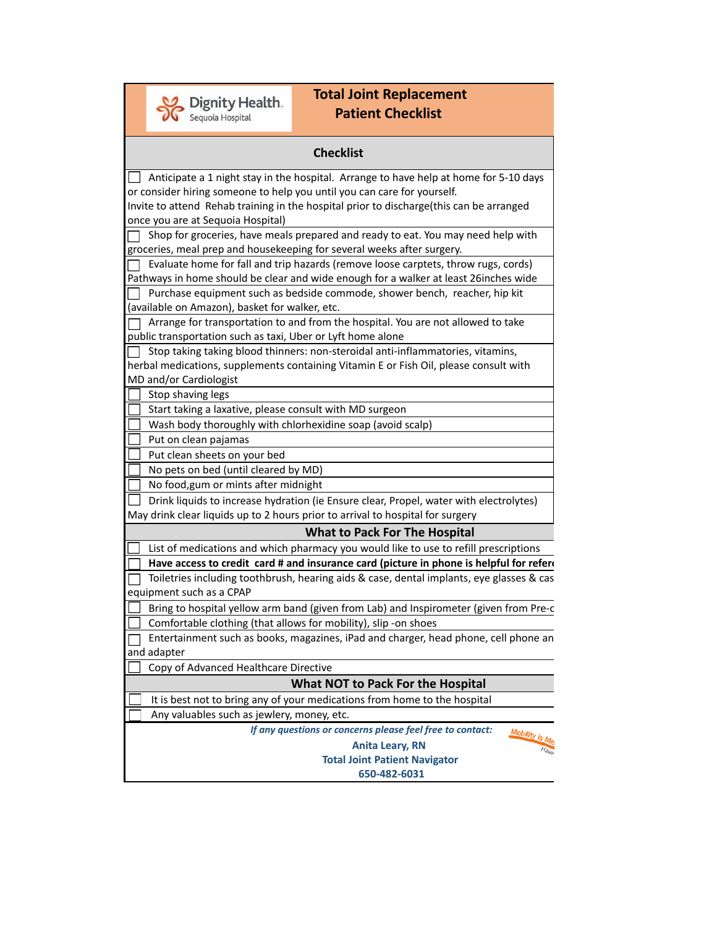

## **Total Joint Replacement Patient Checklist**

| <b>Checklist</b>                                                                                                                                                         |  |  |
|--------------------------------------------------------------------------------------------------------------------------------------------------------------------------|--|--|
| Anticipate a 1 night stay in the hospital. Arrange to have help at home for 5-10 days                                                                                    |  |  |
| or consider hiring someone to help you until you can care for yourself.                                                                                                  |  |  |
| Invite to attend Rehab training in the hospital prior to discharge(this can be arranged                                                                                  |  |  |
| once you are at Sequoia Hospital)                                                                                                                                        |  |  |
| Shop for groceries, have meals prepared and ready to eat. You may need help with                                                                                         |  |  |
| groceries, meal prep and housekeeping for several weeks after surgery.                                                                                                   |  |  |
| Evaluate home for fall and trip hazards (remove loose carptets, throw rugs, cords)                                                                                       |  |  |
| Pathways in home should be clear and wide enough for a walker at least 26inches wide                                                                                     |  |  |
| Purchase equipment such as bedside commode, shower bench, reacher, hip kit                                                                                               |  |  |
| (available on Amazon), basket for walker, etc.                                                                                                                           |  |  |
| Arrange for transportation to and from the hospital. You are not allowed to take                                                                                         |  |  |
| public transportation such as taxi, Uber or Lyft home alone                                                                                                              |  |  |
| Stop taking taking blood thinners: non-steroidal anti-inflammatories, vitamins,                                                                                          |  |  |
| herbal medications, supplements containing Vitamin E or Fish Oil, please consult with                                                                                    |  |  |
| MD and/or Cardiologist<br>Stop shaving legs                                                                                                                              |  |  |
| Start taking a laxative, please consult with MD surgeon                                                                                                                  |  |  |
| Wash body thoroughly with chlorhexidine soap (avoid scalp)                                                                                                               |  |  |
| Put on clean pajamas                                                                                                                                                     |  |  |
| Put clean sheets on your bed                                                                                                                                             |  |  |
| No pets on bed (until cleared by MD)                                                                                                                                     |  |  |
|                                                                                                                                                                          |  |  |
| No food, gum or mints after midnight                                                                                                                                     |  |  |
| Drink liquids to increase hydration (ie Ensure clear, Propel, water with electrolytes)<br>May drink clear liquids up to 2 hours prior to arrival to hospital for surgery |  |  |
|                                                                                                                                                                          |  |  |
| <b>What to Pack For The Hospital</b>                                                                                                                                     |  |  |
| List of medications and which pharmacy you would like to use to refill prescriptions                                                                                     |  |  |
| Have access to credit card # and insurance card (picture in phone is helpful for refere                                                                                  |  |  |
| Toiletries including toothbrush, hearing aids & case, dental implants, eye glasses & cas                                                                                 |  |  |
| equipment such as a CPAP                                                                                                                                                 |  |  |
| Bring to hospital yellow arm band (given from Lab) and Inspirometer (given from Pre-c                                                                                    |  |  |
| Comfortable clothing (that allows for mobility), slip-on shoes                                                                                                           |  |  |
| Entertainment such as books, magazines, iPad and charger, head phone, cell phone an                                                                                      |  |  |
| and adapter                                                                                                                                                              |  |  |
| Copy of Advanced Healthcare Directive                                                                                                                                    |  |  |
| What NOT to Pack For the Hospital                                                                                                                                        |  |  |
| It is best not to bring any of your medications from home to the hospital                                                                                                |  |  |
| Any valuables such as jewlery, money, etc.                                                                                                                               |  |  |
| If any questions or concerns please feel free to contact:<br>Mobility is Me                                                                                              |  |  |
| <b>Anita Leary, RN</b>                                                                                                                                                   |  |  |
| <b>Total Joint Patient Navigator</b>                                                                                                                                     |  |  |
| 650-482-6031                                                                                                                                                             |  |  |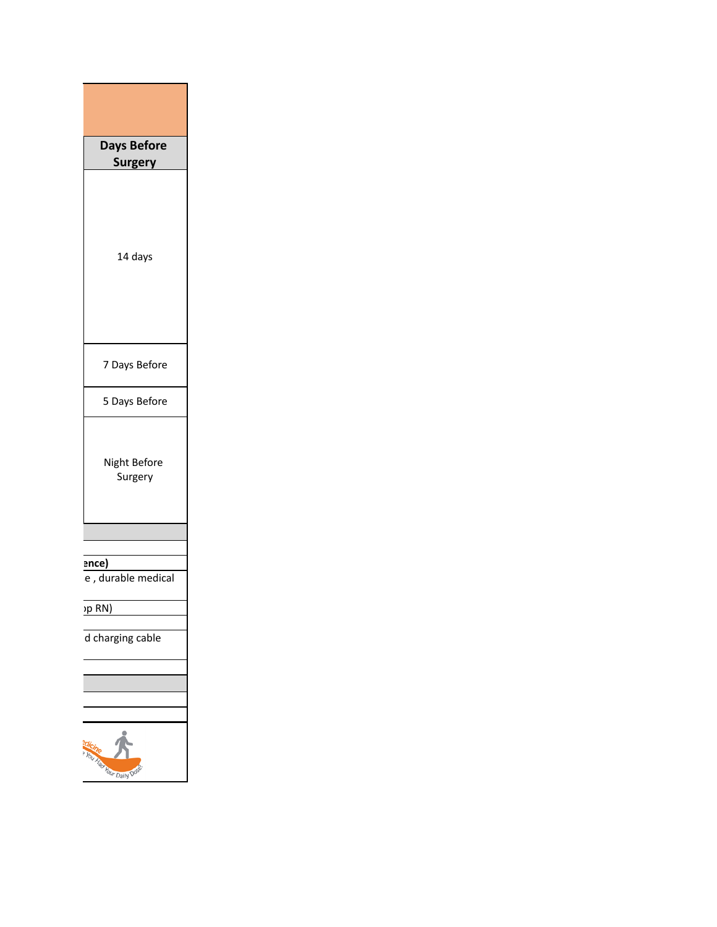| <b>Days Before</b><br><b>Surgery</b> |
|--------------------------------------|
| 14 days                              |
| 7 Days Before                        |
| 5 Days Before                        |
| Night Before<br>Surgery              |
|                                      |
| ence)<br>e, durable medical          |
| $\overline{p \, RN}$                 |
| d charging cable                     |
|                                      |
|                                      |
| You Heavour Daily Des                |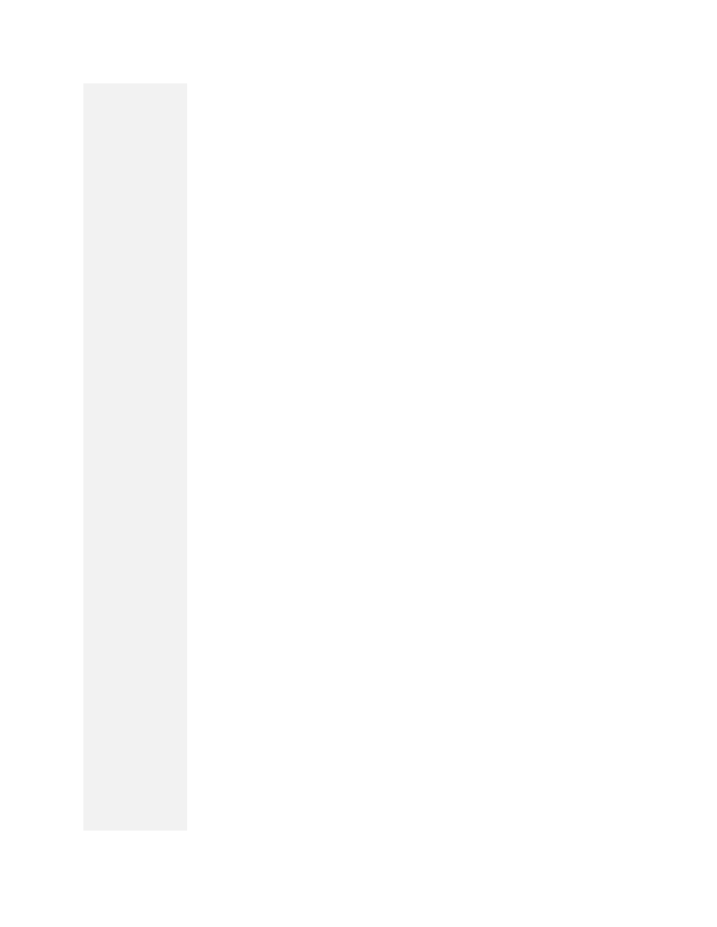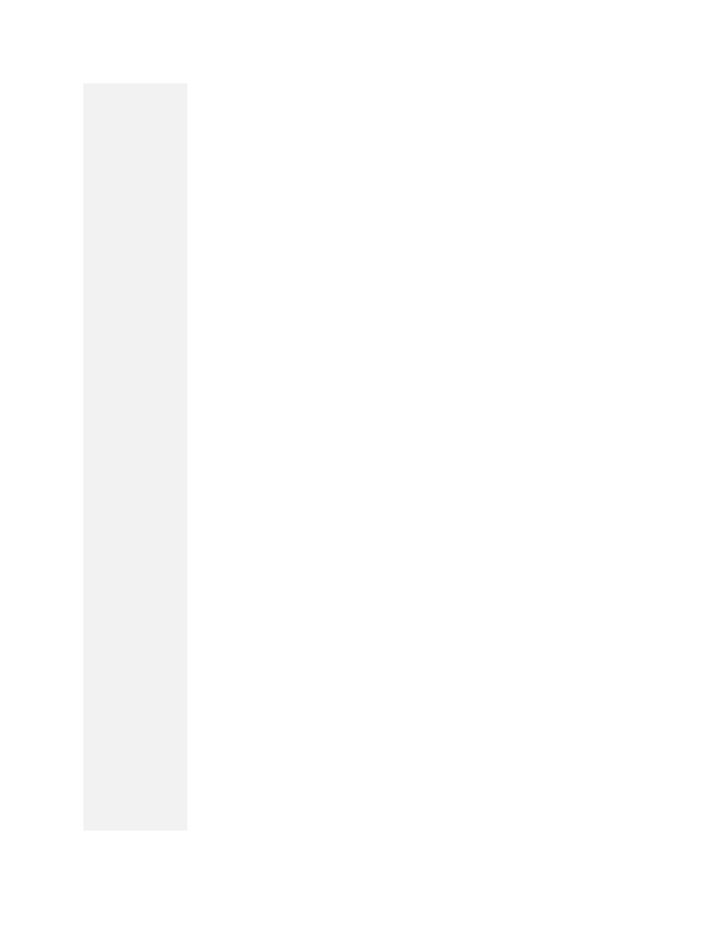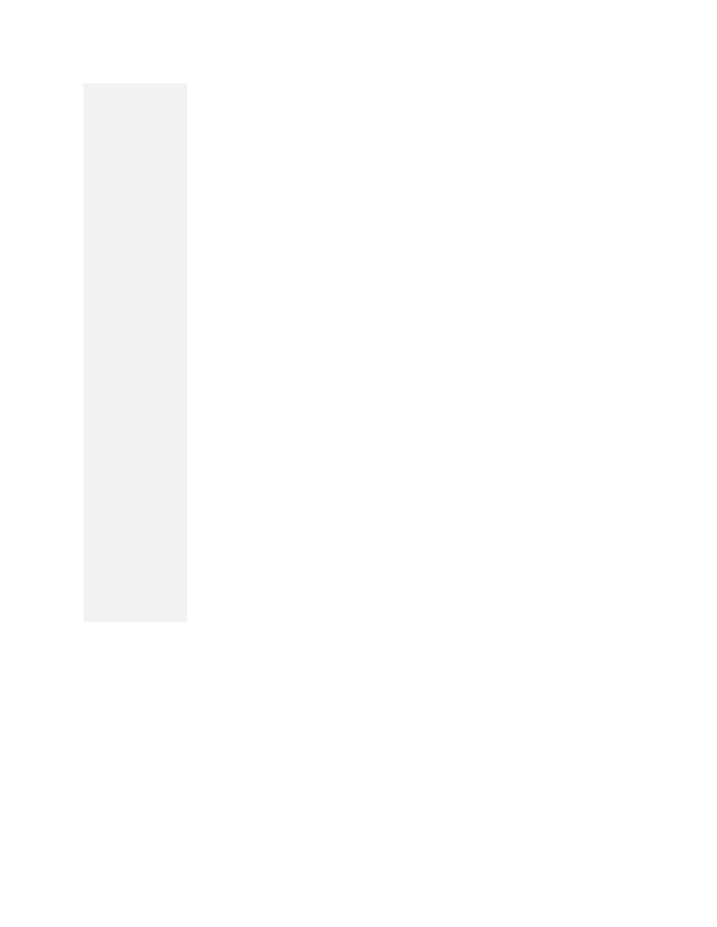